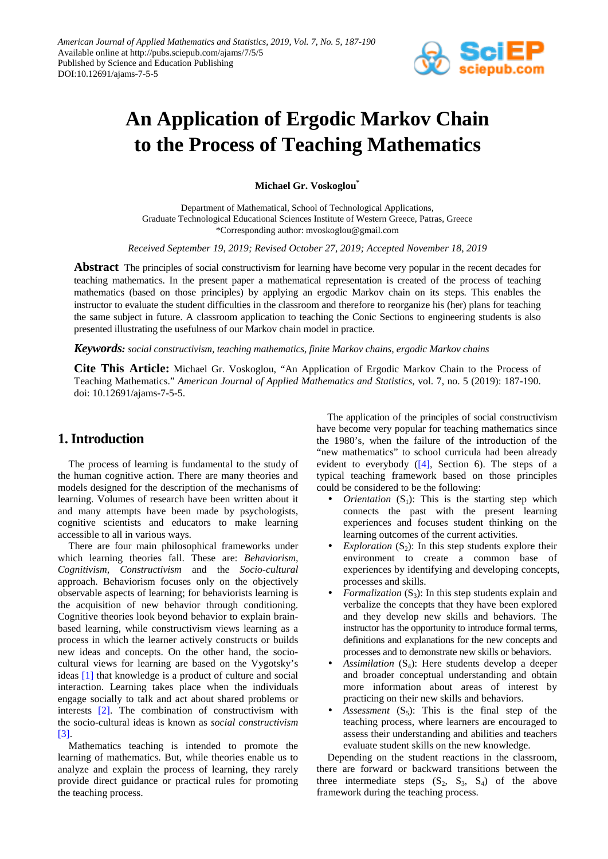

# **An Application of Ergodic Markov Chain to the Process of Teaching Mathematics**

**Michael Gr. Voskoglou\***

Department of Mathematical, School of Technological Applications, Graduate Technological Educational Sciences Institute of Western Greece, Patras, Greece \*Corresponding author: mvoskoglou@gmail.com

*Received September 19, 2019; Revised October 27, 2019; Accepted November 18, 2019*

**Abstract** The principles of social constructivism for learning have become very popular in the recent decades for teaching mathematics. In the present paper a mathematical representation is created of the process of teaching mathematics (based on those principles) by applying an ergodic Markov chain on its steps. This enables the instructor to evaluate the student difficulties in the classroom and therefore to reorganize his (her) plans for teaching the same subject in future. A classroom application to teaching the Conic Sections to engineering students is also presented illustrating the usefulness of our Markov chain model in practice.

*Keywords: social constructivism, teaching mathematics, finite Markov chains, ergodic Markov chains*

**Cite This Article:** Michael Gr. Voskoglou, "An Application of Ergodic Markov Chain to the Process of Teaching Mathematics." *American Journal of Applied Mathematics and Statistics*, vol. 7, no. 5 (2019): 187-190. doi: 10.12691/ajams-7-5-5.

## **1. Introduction**

The process of learning is fundamental to the study of the human cognitive action. There are many theories and models designed for the description of the mechanisms of learning. Volumes of research have been written about it and many attempts have been made by psychologists, cognitive scientists and educators to make learning accessible to all in various ways.

There are four main philosophical frameworks under which learning theories fall. These are: *Behaviorism, Cognitivism, Constructivism* and the *Socio-cultural* approach. Behaviorism focuses only on the objectively observable aspects of learning; for behaviorists learning is the acquisition of new behavior through conditioning. Cognitive theories look beyond behavior to explain brainbased learning, while constructivism views learning as a process in which the learner actively constructs or builds new ideas and concepts. On the other hand, the sociocultural views for learning are based on the Vygotsky's ideas [\[1\]](#page-3-0) that knowledge is a product of culture and social interaction. Learning takes place when the individuals engage socially to talk and act about shared problems or interests [\[2\].](#page-3-1) The combination of constructivism with the socio-cultural ideas is known as *social constructivism*  [\[3\].](#page-3-2)

Mathematics teaching is intended to promote the learning of mathematics. But, while theories enable us to analyze and explain the process of learning, they rarely provide direct guidance or practical rules for promoting the teaching process.

The application of the principles of social constructivism have become very popular for teaching mathematics since the 1980's, when the failure of the introduction of the "new mathematics" to school curricula had been already evident to everybody  $([4]$ , Section 6). The steps of a typical teaching framework based on those principles could be considered to be the following:

- *Orientation*  $(S_1)$ : This is the starting step which connects the past with the present learning experiences and focuses student thinking on the learning outcomes of the current activities.
- *Exploration*  $(S_2)$ : In this step students explore their environment to create a common base of experiences by identifying and developing concepts, processes and skills.
- *Formalization*  $(S_3)$ : In this step students explain and verbalize the concepts that they have been explored and they develop new skills and behaviors. The instructor has the opportunity to introduce formal terms, definitions and explanations for the new concepts and processes and to demonstrate new skills or behaviors.
- *Assimilation*  $(S_4)$ : Here students develop a deeper and broader conceptual understanding and obtain more information about areas of interest by practicing on their new skills and behaviors.
- *Assessment*  $(S_5)$ : This is the final step of the teaching process, where learners are encouraged to assess their understanding and abilities and teachers evaluate student skills on the new knowledge.

Depending on the student reactions in the classroom, there are forward or backward transitions between the three intermediate steps  $(S_2, S_3, S_4)$  of the above framework during the teaching process.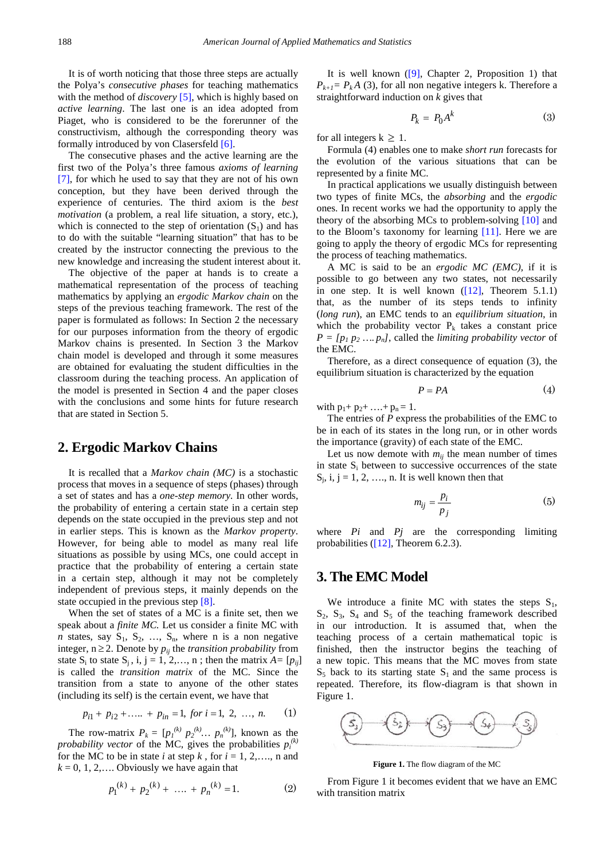It is of worth noticing that those three steps are actually the Polya's *consecutive phases* for teaching mathematics with the method of *discovery* [\[5\],](#page-3-4) which is highly based on *active learning*. The last one is an idea adopted from Piaget, who is considered to be the forerunner of the constructivism, although the corresponding theory was formally introduced by von Clasersfeld [\[6\].](#page-3-5)

The consecutive phases and the active learning are the first two of the Polya's three famous *axioms of learning*  [\[7\],](#page-3-6) for which he used to say that they are not of his own conception, but they have been derived through the experience of centuries. The third axiom is the *best motivation* (a problem, a real life situation, a story, etc.), which is connected to the step of orientation  $(S_1)$  and has to do with the suitable "learning situation" that has to be created by the instructor connecting the previous to the new knowledge and increasing the student interest about it.

The objective of the paper at hands is to create a mathematical representation of the process of teaching mathematics by applying an *ergodic Markov chain* on the steps of the previous teaching framework. The rest of the paper is formulated as follows: In Section 2 the necessary for our purposes information from the theory of ergodic Markov chains is presented. In Section 3 the Markov chain model is developed and through it some measures are obtained for evaluating the student difficulties in the classroom during the teaching process. An application of the model is presented in Section 4 and the paper closes with the conclusions and some hints for future research that are stated in Section 5.

#### **2. Ergodic Markov Chains**

It is recalled that a *Markov chain (MC)* is a stochastic process that moves in a sequence of steps (phases) through a set of states and has a *one-step memory.* In other words, the probability of entering a certain state in a certain step depends on the state occupied in the previous step and not in earlier steps. This is known as the *Markov property*. However, for being able to model as many real life situations as possible by using MCs, one could accept in practice that the probability of entering a certain state in a certain step, although it may not be completely independent of previous steps, it mainly depends on the state occupied in the previous step [\[8\].](#page-3-7) 

When the set of states of a MC is a finite set, then we speak about a *finite MC.* Let us consider a finite MC with *n* states, say  $S_1$ ,  $S_2$ , ...,  $S_n$ , where n is a non negative integer,  $n \geq 2$ . Denote by  $p_{ij}$  the *transition probability* from state  $S_i$  to state  $S_i$ , i, j = 1, 2,..., n; then the matrix  $A = [p_{ij}]$ is called the *transition matrix* of the MC. Since the transition from a state to anyone of the other states (including its self) is the certain event, we have that

$$
p_{i1} + p_{i2} + \dots + p_{in} = 1, \text{ for } i = 1, 2, \dots, n. \tag{1}
$$

The row-matrix  $P_k = [p_1^{(k)} p_2^{(k)} ... p_n^{(k)}]$ , known as the *probability vector* of the MC, gives the probabilities  $p_i^{(k)}$ for the MC to be in state *i* at step *k*, for  $i = 1, 2, \ldots$ , n and  $k = 0, 1, 2, \ldots$  Obviously we have again that

$$
p_1^{(k)} + p_2^{(k)} + \dots + p_n^{(k)} = 1.
$$
 (2)

It is well known  $([9]$ , Chapter 2, Proposition 1) that  $P_{k+1} = P_k A$  (3), for all non negative integers k. Therefore a straightforward induction on *k* gives that

$$
P_k = P_0 A^k \tag{3}
$$

for all integers  $k \geq 1$ .

Formula (4) enables one to make *short run* forecasts for the evolution of the various situations that can be represented by a finite MC.

In practical applications we usually distinguish between two types of finite MCs, the *absorbing* and the *ergodic* ones. In recent works we had the opportunity to apply the theory of the absorbing MCs to problem-solving [\[10\]](#page-3-9) and to the Bloom's taxonomy for learning [\[11\].](#page-3-10) Here we are going to apply the theory of ergodic MCs for representing the process of teaching mathematics.

A MC is said to be an *ergodic MC (EMC),* if it is possible to go between any two states, not necessarily in one step. It is well known [\(\[12\],](#page-3-11) Theorem 5.1.1) that, as the number of its steps tends to infinity (*long run*), an EMC tends to an *equilibrium situation*, in which the probability vector  $P_k$  takes a constant price  $P = [p_1 p_2 \dots p_n]$ , called the *limiting probability vector* of the EMC.

Therefore, as a direct consequence of equation (3), the equilibrium situation is characterized by the equation

$$
P = PA \tag{4}
$$

with  $p_1 + p_2 + \ldots + p_n = 1$ .

The entries of *P* express the probabilities of the EMC to be in each of its states in the long run, or in other words the importance (gravity) of each state of the EMC.

Let us now demote with  $m_{ij}$  the mean number of times in state  $S_i$  between to successive occurrences of the state  $S_i$ , i, j = 1, 2, ..., n. It is well known then that

$$
m_{ij} = \frac{p_i}{p_j} \tag{5}
$$

where *Pi* and *Pj* are the corresponding limiting probabilities ( $[12]$ , Theorem 6.2.3).

#### **3. The EMC Model**

We introduce a finite MC with states the steps  $S_1$ ,  $S_2$ ,  $S_3$ ,  $S_4$  and  $S_5$  of the teaching framework described in our introduction. It is assumed that, when the teaching process of a certain mathematical topic is finished, then the instructor begins the teaching of a new topic. This means that the MC moves from state  $S_5$  back to its starting state  $S_1$  and the same process is repeated. Therefore, its flow-diagram is that shown in Figure 1.



**Figure 1.** The flow diagram of the MC

From Figure 1 it becomes evident that we have an EMC with transition matrix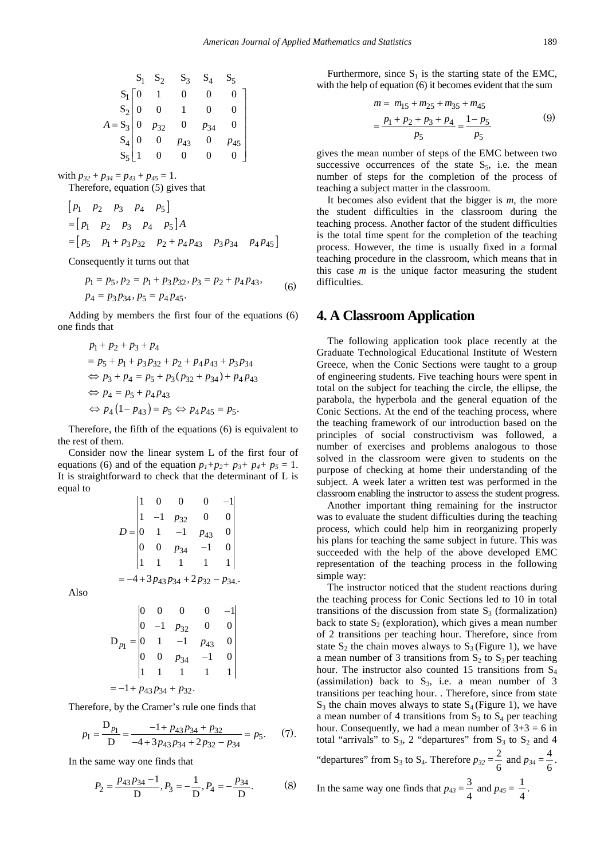$$
\begin{array}{cccccc}\n & S_1 & S_2 & S_3 & S_4 & S_5 \\
S_1 & 0 & 1 & 0 & 0 & 0 \\
S_2 & 0 & 0 & 1 & 0 & 0 \\
A = S_3 & 0 & p_{32} & 0 & p_{34} & 0 \\
S_4 & 0 & 0 & p_{43} & 0 & p_{45} \\
S_5 & 1 & 0 & 0 & 0 & 0\n\end{array}
$$

with  $p_{32} + p_{34} = p_{43} + p_{45} = 1$ .

Therefore, equation (5) gives that

$$
\begin{aligned} & \begin{bmatrix} p_1 & p_2 & p_3 & p_4 & p_5 \end{bmatrix} \\ & = \begin{bmatrix} p_1 & p_2 & p_3 & p_4 & p_5 \end{bmatrix} A \\ & = \begin{bmatrix} p_5 & p_1 + p_3 p_{32} & p_2 + p_4 p_{43} & p_3 p_{34} & p_4 p_{45} \end{bmatrix} \end{aligned}
$$

Consequently it turns out that

$$
p_1 = p_5, p_2 = p_1 + p_3 p_3, p_3 = p_2 + p_4 p_4, \tag{6}
$$
  

$$
p_4 = p_3 p_3, p_5 = p_4 p_4, \tag{6}
$$

Adding by members the first four of the equations (6) one finds that

$$
p_1 + p_2 + p_3 + p_4
$$
  
=  $p_5 + p_1 + p_3 p_3 + p_2 + p_4 p_4 + p_3 p_3$   
 $\Leftrightarrow p_3 + p_4 = p_5 + p_3 (p_3 + p_3 + p_4 p_4)$   
 $\Leftrightarrow p_4 = p_5 + p_4 p_4$   
 $\Leftrightarrow p_4 (1 - p_4) = p_5 \Leftrightarrow p_4 p_4 = p_5.$ 

Therefore, the fifth of the equations (6) is equivalent to the rest of them.

Consider now the linear system L of the first four of equations (6) and of the equation  $p_1+p_2+p_3+p_4+p_5=1$ . It is straightforward to check that the determinant of L is equal to

$$
D = \begin{vmatrix} 1 & 0 & 0 & 0 & -1 \\ 1 & -1 & p_{32} & 0 & 0 \\ 0 & 1 & -1 & p_{43} & 0 \\ 0 & 0 & p_{34} & -1 & 0 \\ 1 & 1 & 1 & 1 & 1 \end{vmatrix}
$$
  
= -4 + 3p\_{43}p\_{34} + 2p\_{32} - p\_{34}.

Also

$$
D_{p_1} = \begin{vmatrix} 0 & 0 & 0 & 0 & -1 \\ 0 & -1 & p_{32} & 0 & 0 \\ 0 & 1 & -1 & p_{43} & 0 \\ 0 & 0 & p_{34} & -1 & 0 \\ 1 & 1 & 1 & 1 & 1 \end{vmatrix}
$$
  
= -1 + p\_{43}p\_{34} + p\_{32}.

Therefore, by the Cramer's rule one finds that

$$
p_1 = \frac{D_{p_1}}{D} = \frac{-1 + p_{43}p_{34} + p_{32}}{-4 + 3p_{43}p_{34} + 2p_{32} - p_{34}} = p_5.
$$
 (7).

In the same way one finds that

$$
P_2 = \frac{p_{43}p_{34} - 1}{D}, P_3 = -\frac{1}{D}, P_4 = -\frac{p_{34}}{D}.
$$
 (8)

Furthermore, since  $S_1$  is the starting state of the EMC, with the help of equation (6) it becomes evident that the sum

$$
m = m_{15} + m_{25} + m_{35} + m_{45}
$$
  
=  $\frac{p_1 + p_2 + p_3 + p_4}{p_5} = \frac{1 - p_5}{p_5}$  (9)

gives the mean number of steps of the EMC between two successive occurrences of the state  $S_5$ , i.e. the mean number of steps for the completion of the process of teaching a subject matter in the classroom.

It becomes also evident that the bigger is *m*, the more the student difficulties in the classroom during the teaching process. Another factor of the student difficulties is the total time spent for the completion of the teaching process. However, the time is usually fixed in a formal teaching procedure in the classroom, which means that in this case *m* is the unique factor measuring the student difficulties.

#### **4. A Classroom Application**

The following application took place recently at the Graduate Technological Educational Institute of Western Greece, when the Conic Sections were taught to a group of engineering students. Five teaching hours were spent in total on the subject for teaching the circle, the ellipse, the parabola, the hyperbola and the general equation of the Conic Sections. At the end of the teaching process, where the teaching framework of our introduction based on the principles of social constructivism was followed, a number of exercises and problems analogous to those solved in the classroom were given to students on the purpose of checking at home their understanding of the subject. A week later a written test was performed in the classroom enabling the instructor to assess the student progress.

Another important thing remaining for the instructor was to evaluate the student difficulties during the teaching process, which could help him in reorganizing properly his plans for teaching the same subject in future. This was succeeded with the help of the above developed EMC representation of the teaching process in the following simple way:

The instructor noticed that the student reactions during the teaching process for Conic Sections led to 10 in total transitions of the discussion from state  $S_3$  (formalization) back to state  $S<sub>2</sub>$  (exploration), which gives a mean number of 2 transitions per teaching hour. Therefore, since from state  $S_2$  the chain moves always to  $S_3$  (Figure 1), we have a mean number of 3 transitions from  $S_2$  to  $S_3$  per teaching hour. The instructor also counted 15 transitions from  $S_4$ (assimilation) back to  $S_3$ , i.e. a mean number of 3 transitions per teaching hour. . Therefore, since from state  $S_3$  the chain moves always to state  $S_4$  (Figure 1), we have a mean number of 4 transitions from  $S_3$  to  $S_4$  per teaching hour. Consequently, we had a mean number of  $3+3 = 6$  in total "arrivals" to  $S_3$ , 2 "departures" from  $S_3$  to  $S_2$  and 4

"departures" from S<sub>3</sub> to S<sub>4</sub>. Therefore  $p_{32} = \frac{2}{6}$  and  $p_{34} = \frac{4}{6}$ .

.

In the same way one finds that 
$$
p_{43} = \frac{3}{4}
$$
 and  $p_{45} = \frac{1}{4}$